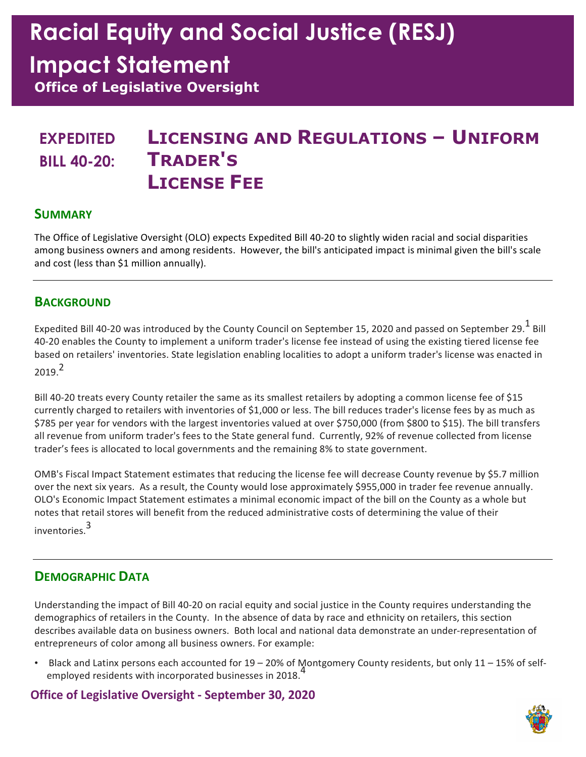# Racial Equity and Social Justice (RESJ)

## Impact Statement

Office of Legislative Oversight

## EXPEDITED **LICENSING AND REGULATIONS - UNIFORM** BILL 40-20: TRADER'S LICENSE FEE

### **SUMMARY**

 The Office of Legislative Oversight (OLO) expects Expedited Bill 40-20 to slightly widen racial and social disparities among business owners and among residents. However, the bill's anticipated impact is minimal given the bill's scale and cost (less than \$1 million annually).

### **BACKGROUND**

Expedited Bill 40-20 was introduced by the County Council on September 15, 2020 and passed on September 29. $^{\text{1}}$  Bill 40-20 enables the County to implement a uniform trader's license fee instead of using the existing tiered license fee based on retailers' inventories. State legislation enabling localities to adopt a uniform trader's license was enacted in  $2019<sup>2</sup>$ 

 Bill 40-20 treats every County retailer the same as its smallest retailers by adopting a common license fee of \$15 currently charged to retailers with inventories of \$1,000 or less. The bill reduces trader's license fees by as much as \$785 per year for vendors with the largest inventories valued at over \$750,000 (from \$800 to \$15). The bill transfers all revenue from uniform trader's fees to the State general fund. Currently, 92% of revenue collected from license trader's fees is allocated to local governments and the remaining 8% to state government.

 OMB's Fiscal Impact Statement estimates that reducing the license fee will decrease County revenue by \$5.7 million over the next six years. As a result, the County would lose approximately \$955,000 in trader fee revenue annually. OLO's Economic Impact Statement estimates a minimal economic impact of the bill on the County as a whole but notes that retail stores will benefit from the reduced administrative costs of determining the value of their inventories.<sup>3</sup>

### DEMOGRAPHIC DATA

 Understanding the impact of Bill 40-20 on racial equity and social justice in the County requires understanding the demographics of retailers in the County. In the absence of data by race and ethnicity on retailers, this section describes available data on business owners. Both local and national data demonstrate an under-representation of entrepreneurs of color among all business owners. For example:

employed residents with incorporated businesses in 2018.<sup>4</sup> • Black and Latinx persons each accounted for 19 – 20% of Montgomery County residents, but only 11 – 15% of self-

### Office of Legislative Oversight - September 30, 2020

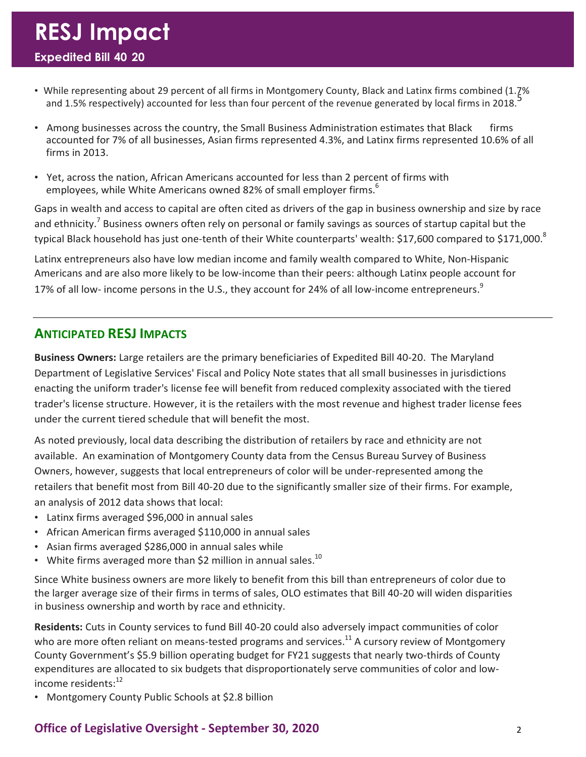- • While representing about 29 percent of all firms in Montgomery County, Black and Latinx firms combined (1.7% and 1.5% respectively) accounted for less than four percent of the revenue generated by local firms in 2018.<sup>5</sup>
- Among businesses across the country, the Small Business Administration estimates that Black firms accounted for 7% of all businesses, Asian firms represented 4.3%, and Latinx firms represented 10.6% of all firms in 2013.
- • Yet, across the nation, African Americans accounted for less than 2 percent of firms with employees, while White Americans owned 82% of small employer firms.<sup>6</sup>

 Gaps in wealth and access to capital are often cited as drivers of the gap in business ownership and size by race and ethnicity.<sup>7</sup> Business owners often rely on personal or family savings as sources of startup capital but the typical Black household has just one-tenth of their White counterparts' wealth: \$17,600 compared to \$171,000. $^8$ 

 Latinx entrepreneurs also have low median income and family wealth compared to White, Non-Hispanic Americans and are also more likely to be low-income than their peers: although Latinx people account for 17% of all low- income persons in the U.S., they account for 24% of all low-income entrepreneurs.<sup>9</sup>

### ANTICIPATED RESJ IMPACTS

Business Owners: Large retailers are the primary beneficiaries of Expedited Bill 40-20. The Maryland Department of Legislative Services' Fiscal and Policy Note states that all small businesses in jurisdictions enacting the uniform trader's license fee will benefit from reduced complexity associated with the tiered trader's license structure. However, it is the retailers with the most revenue and highest trader license fees under the current tiered schedule that will benefit the most.

 As noted previously, local data describing the distribution of retailers by race and ethnicity are not available. An examination of Montgomery County data from the Census Bureau Survey of Business Owners, however, suggests that local entrepreneurs of color will be under-represented among the retailers that benefit most from Bill 40-20 due to the significantly smaller size of their firms. For example, an analysis of 2012 data shows that local:

- Latinx firms averaged \$96,000 in annual sales
- African American firms averaged \$110,000 in annual sales
- Asian firms averaged \$286,000 in annual sales while
- White firms averaged more than \$2 million in annual sales.<sup>10</sup>

 Since White business owners are more likely to benefit from this bill than entrepreneurs of color due to the larger average size of their firms in terms of sales, OLO estimates that Bill 40-20 will widen disparities in business ownership and worth by race and ethnicity.

Residents: Cuts in County services to fund Bill 40-20 could also adversely impact communities of color who are more often reliant on means-tested programs and services.<sup>11</sup> A cursory review of Montgomery County Government's \$5.9 billion operating budget for FY21 suggests that nearly two-thirds of County expenditures are allocated to six budgets that disproportionately serve communities of color and lowincome residents:<sup>12</sup>

• Montgomery County Public Schools at \$2.8 billion

### Office of Legislative Oversight - September 30, 2020 2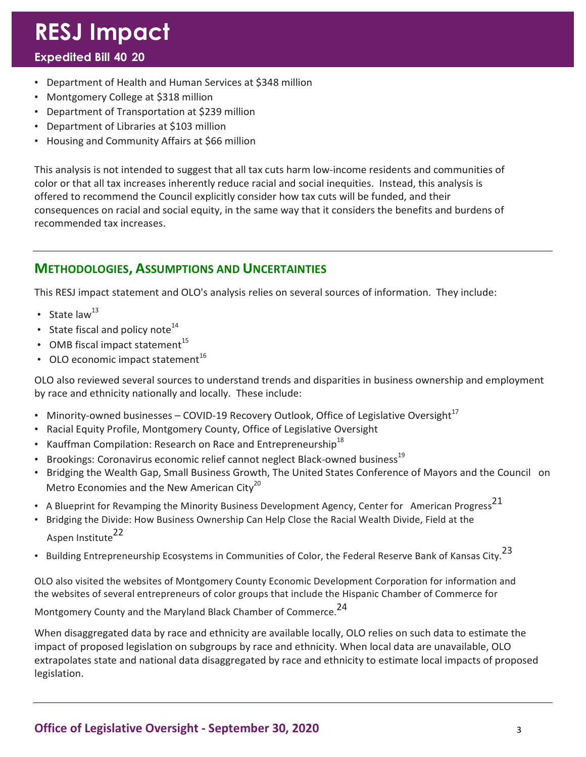# RESJ Impact

### - Expedited Bill 40 20

- Department of Health and Human Services at \$348 million
- Montgomery College at \$318 million
- Department of Transportation at \$239 million
- Department of Libraries at \$103 million
- Housing and Community Affairs at \$66 million

 This analysis is not intended to suggest that all tax cuts harm low-income residents and communities of color or that all tax increases inherently reduce racial and social inequities. Instead, this analysis is offered to recommend the Council explicitly consider how tax cuts will be funded, and their consequences on racial and social equity, in the same way that it considers the benefits and burdens of recommended tax increases.

### METHODOLOGIES, ASSUMPTIONS AND UNCERTAINTIES

This RESJ impact statement and OLO's analysis relies on several sources of information. They include:

- State law $^{13}$
- State fiscal and policy note $^{14}$
- OMB fiscal impact statement $^{15}$
- OLO economic impact statement $^{16}$

 OLO also reviewed several sources to understand trends and disparities in business ownership and employment by race and ethnicity nationally and locally. These include:

- Minority-owned businesses COVID-19 Recovery Outlook, Office of Legislative Oversight<sup>17</sup>
- Racial Equity Profile, Montgomery County, Office of Legislative Oversight
- Kauffman Compilation: Research on Race and Entrepreneurship<sup>18</sup>
- Brookings: Coronavirus economic relief cannot neglect Black-owned business $^{19}$
- • Bridging the Wealth Gap, Small Business Growth, The United States Conference of Mayors and the Council on Metro Economies and the New American City<sup>20</sup>
- A Blueprint for Revamping the Minority Business Development Agency, Center for American Progress<sup>21</sup>
- • Bridging the Divide: How Business Ownership Can Help Close the Racial Wealth Divide, Field at the Aspen Institute<sup>22</sup>
- Building Entrepreneurship Ecosystems in Communities of Color, the Federal Reserve Bank of Kansas City.<sup>23</sup>

 OLO also visited the websites of Montgomery County Economic Development Corporation for information and the websites of several entrepreneurs of color groups that include the Hispanic Chamber of Commerce for

Montgomery County and the Maryland Black Chamber of Commerce.<sup>24</sup>

 When disaggregated data by race and ethnicity are available locally, OLO relies on such data to estimate the impact of proposed legislation on subgroups by race and ethnicity. When local data are unavailable, OLO extrapolates state and national data disaggregated by race and ethnicity to estimate local impacts of proposed legislation.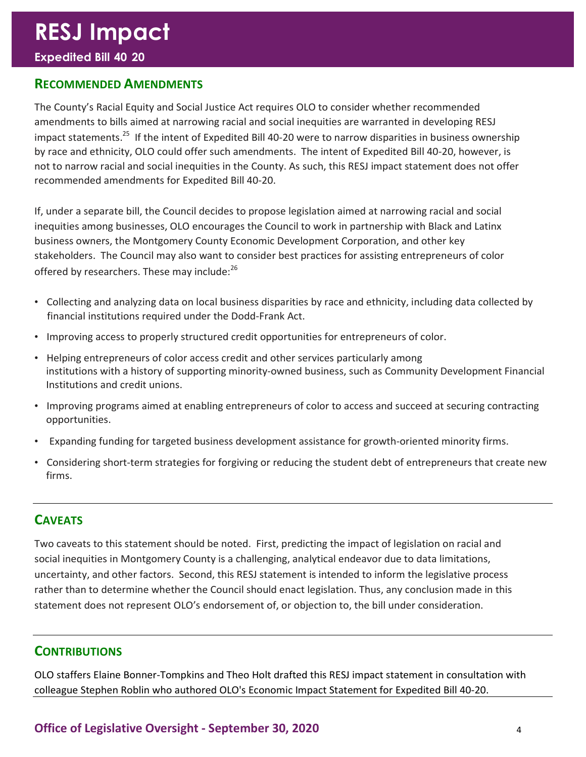#### - Expedited Bill 40 20

#### RECOMMENDED AMENDMENTS

 The County's Racial Equity and Social Justice Act requires OLO to consider whether recommended amendments to bills aimed at narrowing racial and social inequities are warranted in developing RESJ impact statements.<sup>25</sup> If the intent of Expedited Bill 40-20 were to narrow disparities in business ownership by race and ethnicity, OLO could offer such amendments. The intent of Expedited Bill 40-20, however, is not to narrow racial and social inequities in the County. As such, this RESJ impact statement does not offer recommended amendments for Expedited Bill 40-20.

 If, under a separate bill, the Council decides to propose legislation aimed at narrowing racial and social inequities among businesses, OLO encourages the Council to work in partnership with Black and Latinx business owners, the Montgomery County Economic Development Corporation, and other key stakeholders. The Council may also want to consider best practices for assisting entrepreneurs of color offered by researchers. These may include: $^{26}$ 

- • Collecting and analyzing data on local business disparities by race and ethnicity, including data collected by financial institutions required under the Dodd-Frank Act.
- Improving access to properly structured credit opportunities for entrepreneurs of color.
- • Helping entrepreneurs of color access credit and other services particularly among institutions with a history of supporting minority-owned business, such as Community Development Financial Institutions and credit unions.
- • Improving programs aimed at enabling entrepreneurs of color to access and succeed at securing contracting opportunities.
- Expanding funding for targeted business development assistance for growth-oriented minority firms.
- • Considering short-term strategies for forgiving or reducing the student debt of entrepreneurs that create new firms.

### **CAVEATS**

 Two caveats to this statement should be noted. First, predicting the impact of legislation on racial and social inequities in Montgomery County is a challenging, analytical endeavor due to data limitations, uncertainty, and other factors. Second, this RESJ statement is intended to inform the legislative process rather than to determine whether the Council should enact legislation. Thus, any conclusion made in this statement does not represent OLO's endorsement of, or objection to, the bill under consideration.

#### **CONTRIBUTIONS**

 OLO staffers Elaine Bonner-Tompkins and Theo Holt drafted this RESJ impact statement in consultation with colleague Stephen Roblin who authored OLO's Economic Impact Statement for Expedited Bill 40-20.

Office of Legislative Oversight - September 30, 2020 4